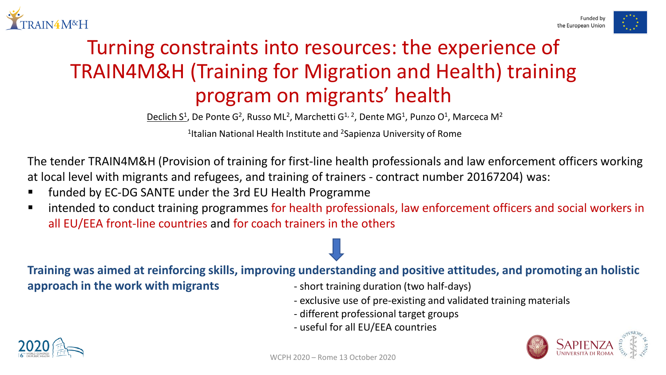



## Turning constraints into resources: the experience of TRAIN4M&H (Training for Migration and Health) training program on migrants' health

Declich S<sup>1</sup>, De Ponte G<sup>2</sup>, Russo ML<sup>2</sup>, Marchetti G<sup>1, 2</sup>, Dente MG<sup>1</sup>, Punzo O<sup>1</sup>, Marceca M<sup>2</sup>

1Italian National Health Institute and 2Sapienza University of Rome

The tender TRAIN4M&H (Provision of training for first-line health professionals and law enforcement officers working at local level with migrants and refugees, and training of trainers - contract number 20167204) was:

- funded by EC-DG SANTE under the 3rd EU Health Programme
- intended to conduct training programmes for health professionals, law enforcement officers and social workers in all EU/EEA front-line countries and for coach trainers in the others

**Training was aimed at reinforcing skills, improving understanding and positive attitudes, and promoting an holistic** 

**approach in the work with migrants** - short training duration (two half-days)

- 
- exclusive use of pre-existing and validated training materials
- different professional target groups
- useful for all EU/EEA countries



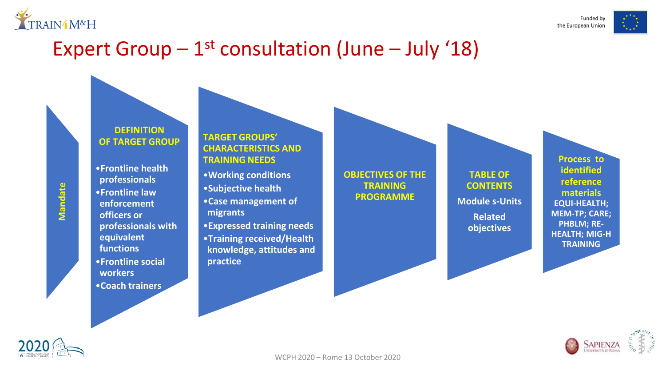

Funded by the European Union

## Expert Group  $-1$ <sup>st</sup> consultation (June  $-$  July '18)

#### **DEFINITION OF TARGET GROUP**

•**Frontline health professionals** •**Frontline law enforcement officers or professionals with equivalent functions** •**Frontline social workers** •**Coach trainers** 

#### **TARGET GROUPS' CHARACTERISTICS AND TRAINING NEEDS**

•**Working conditions** •**Subjective health** •**Case management of migrants** •**Expressed training needs** •**Training received/Health knowledge, attitudes and practice**

#### **OBJECTIVES OF THE TRAINING PROGRAMME**

**TABLE OF CONTENTS Module s-Units Related objectives**

**Process to identified reference materials EQUI-HEALTH; MEM-TP; CARE; PHBLM; RE-HEALTH; MIG-H TRAINING**





**Mandate**

Mandate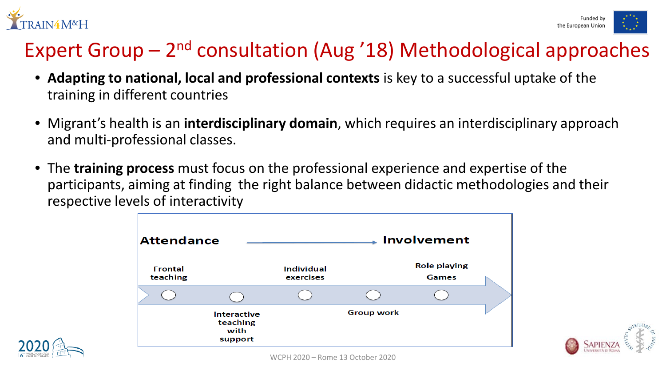



## Expert Group  $-2<sup>nd</sup>$  consultation (Aug '18) Methodological approaches

- **Adapting to national, local and professional contexts** is key to a successful uptake of the training in different countries
- Migrant's health is an **interdisciplinary domain**, which requires an interdisciplinary approach and multi-professional classes.
- The **training process** must focus on the professional experience and expertise of the participants, aiming at finding the right balance between didactic methodologies and their respective levels of interactivity



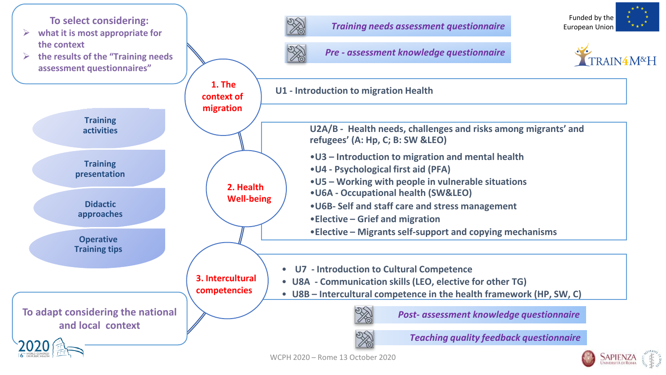